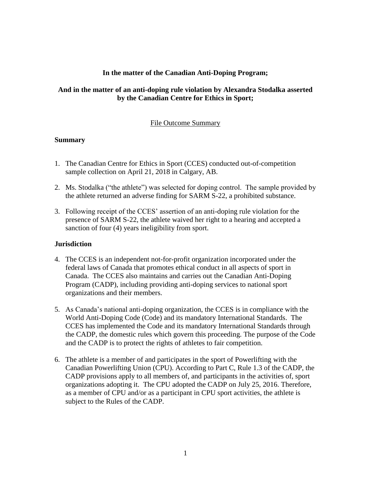## **In the matter of the Canadian Anti-Doping Program;**

## **And in the matter of an anti-doping rule violation by Alexandra Stodalka asserted by the Canadian Centre for Ethics in Sport;**

## File Outcome Summary

### **Summary**

- 1. The Canadian Centre for Ethics in Sport (CCES) conducted out-of-competition sample collection on April 21, 2018 in Calgary, AB.
- 2. Ms. Stodalka ("the athlete") was selected for doping control. The sample provided by the athlete returned an adverse finding for SARM S-22, a prohibited substance.
- 3. Following receipt of the CCES' assertion of an anti-doping rule violation for the presence of SARM S-22, the athlete waived her right to a hearing and accepted a sanction of four (4) years ineligibility from sport.

### **Jurisdiction**

- 4. The CCES is an independent not-for-profit organization incorporated under the federal laws of Canada that promotes ethical conduct in all aspects of sport in Canada. The CCES also maintains and carries out the Canadian Anti-Doping Program (CADP), including providing anti-doping services to national sport organizations and their members.
- 5. As Canada's national anti-doping organization, the CCES is in compliance with the World Anti-Doping Code (Code) and its mandatory International Standards. The CCES has implemented the Code and its mandatory International Standards through the CADP, the domestic rules which govern this proceeding. The purpose of the Code and the CADP is to protect the rights of athletes to fair competition.
- 6. The athlete is a member of and participates in the sport of Powerlifting with the Canadian Powerlifting Union (CPU). According to Part C, Rule 1.3 of the CADP, the CADP provisions apply to all members of, and participants in the activities of, sport organizations adopting it. The CPU adopted the CADP on July 25, 2016. Therefore, as a member of CPU and/or as a participant in CPU sport activities, the athlete is subject to the Rules of the CADP.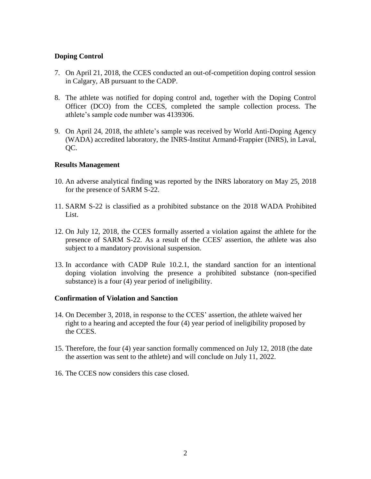# **Doping Control**

- 7. On April 21, 2018, the CCES conducted an out-of-competition doping control session in Calgary, AB pursuant to the CADP.
- 8. The athlete was notified for doping control and, together with the Doping Control Officer (DCO) from the CCES, completed the sample collection process. The athlete's sample code number was 4139306.
- 9. On April 24, 2018, the athlete's sample was received by World Anti-Doping Agency (WADA) accredited laboratory, the INRS-Institut Armand-Frappier (INRS), in Laval, OC.

### **Results Management**

- 10. An adverse analytical finding was reported by the INRS laboratory on May 25, 2018 for the presence of SARM S-22.
- 11. SARM S-22 is classified as a prohibited substance on the 2018 WADA Prohibited List.
- 12. On July 12, 2018, the CCES formally asserted a violation against the athlete for the presence of SARM S-22. As a result of the CCES' assertion, the athlete was also subject to a mandatory provisional suspension.
- 13. In accordance with CADP Rule 10.2.1, the standard sanction for an intentional doping violation involving the presence a prohibited substance (non-specified substance) is a four (4) year period of ineligibility.

### **Confirmation of Violation and Sanction**

- 14. On December 3, 2018, in response to the CCES' assertion, the athlete waived her right to a hearing and accepted the four (4) year period of ineligibility proposed by the CCES.
- 15. Therefore, the four (4) year sanction formally commenced on July 12, 2018 (the date the assertion was sent to the athlete) and will conclude on July 11, 2022.
- 16. The CCES now considers this case closed.